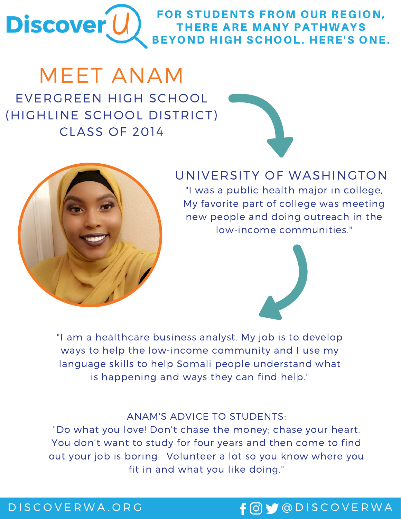

# MEET ANAM EVERGREEN HIGH SCHOOL

(HIGHLINE SCHOOL DISTRICT) CLASS OF 2014





### UNIVERSITY OF WASHINGTON

"I was a public health major in college, My favorite part of college was meeting new people and doing outreach in the low-income communities."



"I am a healthcare business analyst. My job is to develop ways to help the low-income community and I use my language skills to help Somali people understand what is happening and ways they can find help."

### ANAM'S ADVICE TO STUDENTS:

"Do what you love! Don't chase the money; chase your heart. You don't want to study for four years and then come to find out your job is boring. Volunteer a lot so you know where you fit in and what you like doing."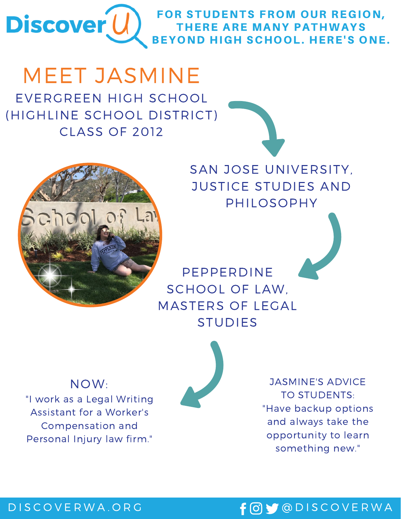

MEET JASMINE EVERGREEN HIGH SCHOOL (HIGHLINE SCHOOL DISTRICT) CLASS OF 2012





SAN JOSE UNIVERSITY, JUSTICE STUDIES AND PHILOSOPHY

PEPPERDINE SCHOOL OF LAW, MASTERS OF LEGAL STUDIES

"I work as a Legal Writing Assistant for a Worker's Compensation and Personal Injury law firm." NOW:

JASMINE'S ADVICE TO STUDENTS: "Have backup options and always take the opportunity to learn something new."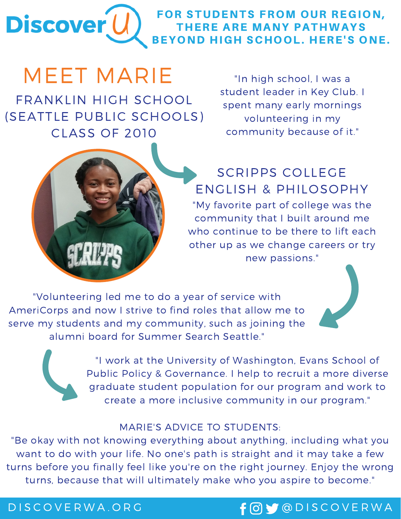MEET MARIE FRANKLIN HIGH SCHOOL (SEATTLE PUBLIC SCHOOLS) CLASS OF 2010

**Discover U** 

"In high school, I was a student leader in Key Club. I spent many early mornings volunteering in my community because of it."

# SCRIPPS COLLEGE ENGLISH & PHILOSOPHY

"My favorite part of college was the community that I built around me who continue to be there to lift each other up as we change careers or try new passions."

"Volunteering led me to do a year of service with AmeriCorps and now I strive to find roles that allow me to serve my students and my community, such as joining the alumni board for Summer Search Seattle."

> "I work at the University of Washington, Evans School of Public Policy & Governance. I help to recruit a more diverse graduate student population for our program and work to create a more inclusive community in our program."

### MARIE'S ADVICE TO STUDENTS:

"Be okay with not knowing everything about anything, including what you want to do with your life. No one's path is straight and it may take a few turns before you finally feel like you're on the right journey. Enjoy the wrong turns, because that will ultimately make who you aspire to become."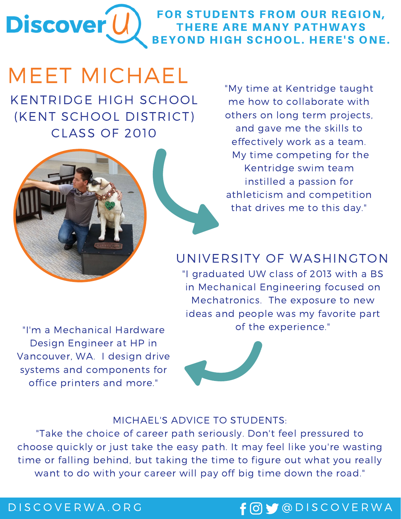# MEET MICHAEL

Discover U

KENTRIDGE HIGH SCHOOL (KENT SCHOOL DISTRICT) CLASS OF 2010



"My time at Kentridge taught me how to collaborate with others on long term projects, and gave me the skills to effectively work as a team. My time competing for the Kentridge swim team instilled a passion for athleticism and competition that drives me to this day."

### UNIVERSITY OF WASHINGTON

"I graduated UW class of 2013 with a BS in Mechanical Engineering focused on Mechatronics. The exposure to new ideas and people was my favorite part of the experience."

"I'm a Mechanical Hardware Design Engineer at HP in Vancouver, WA. I design drive systems and components for office printers and more."



### MICHAEL'S ADVICE TO STUDENTS:

"Take the choice of career path seriously. Don't feel pressured to choose quickly or just take the easy path. It may feel like you're wasting time or falling behind, but taking the time to figure out what you really want to do with your career will pay off big time down the road."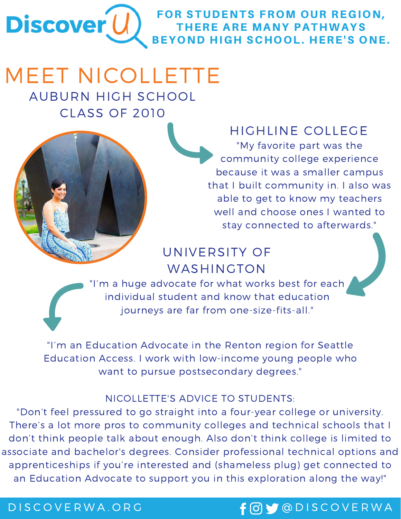

MEET NICOLLETTE AUBURN HIGH SCHOOL CLASS OF 2010



### HIGHLINE COLLEGE

"My favorite part was the community college experience because it was a smaller campus that I built community in. I also was able to get to know my teachers well and choose ones I wanted to stay connected to afterwards."

### UNIVERSITY OF WASHINGTON

"I'm a huge advocate for what works best for each individual student and know that education journeys are far from one-size-fits-all."

"I'm an Education Advocate in the Renton region for Seattle Education Access. I work with low-income young people who want to pursue postsecondary degrees."

### NICOLLETTE'S ADVICE TO STUDENTS:

"Don't feel pressured to go straight into a four-year college or university. There's a lot more pros to community colleges and technical schools that I don't think people talk about enough. Also don't think college is limited to associate and bachelor's degrees. Consider professional technical options and apprenticeships if you're interested and (shameless plug) get connected to an Education Advocate to support you in this exploration along the way!"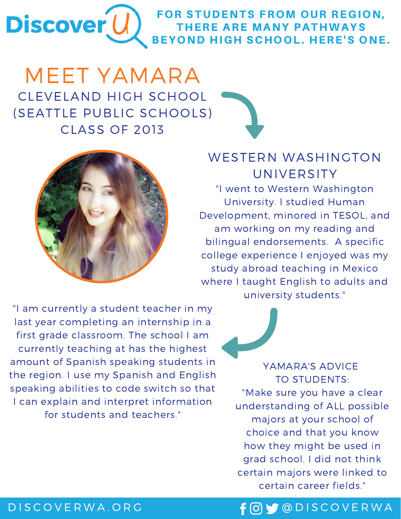

MEET YAMARA CLEVELAND HIGH SCHOOL (SEATTLE PUBLIC SCHOOLS) CLASS OF 2013



### WESTERN WASHINGTON UNIVERSITY

"I went to Western Washington University. I studied Human Development, minored in TESOL, and am working on my reading and bilingual endorsements. A specific college experience I enjoyed was my study abroad teaching in Mexico where I taught English to adults and university students."

"I am currently a student teacher in my last year completing an internship in a first grade classroom. The school I am currently teaching at has the highest amount of Spanish speaking students in the region. I use my Spanish and English speaking abilities to code switch so that I can explain and interpret information for students and teachers."



understanding of ALL possible majors at your school of choice and that you know how they might be used in grad school. I did not think certain majors were linked to certain career fields."

# D I S C O V E R W A . O R G & C G G G G G G G G G G G G G G G C O V E R W A